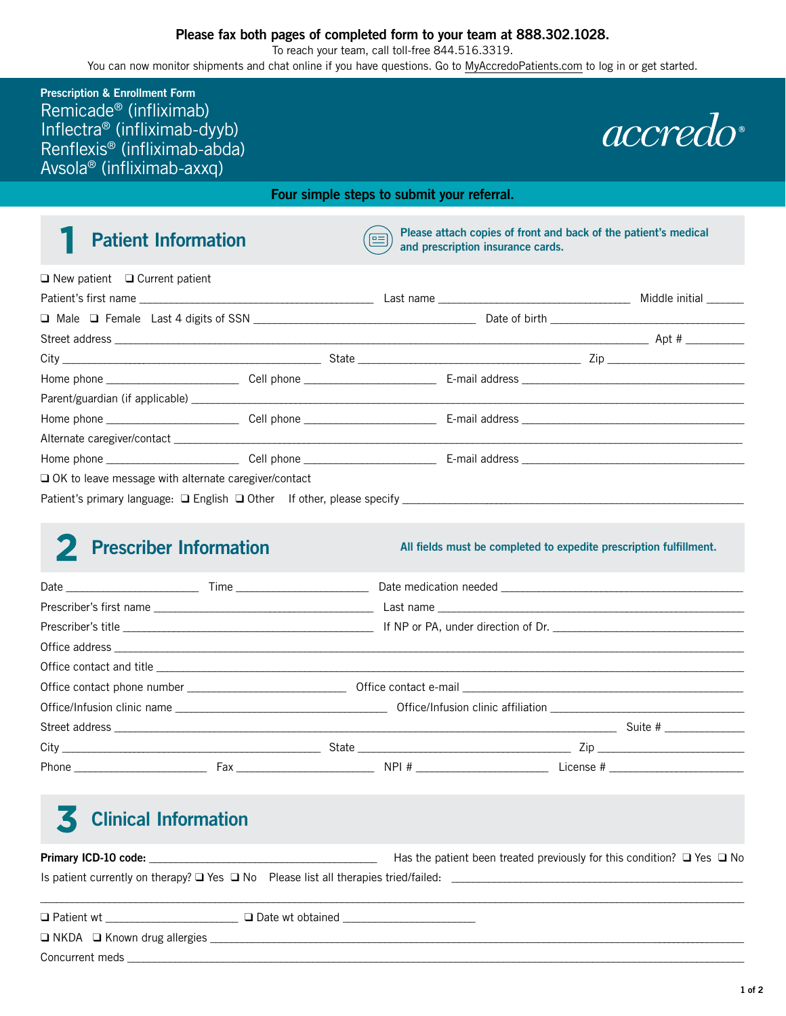To reach your team, call toll-free 844.516.3319.

You can now monitor shipments and chat online if you have questions. Go to [MyAccredoPatients.com](https://prescribers.accredo.com/frontend/apw/login) to log in or get started.

- Inflectra® (infliximab dyyb) Renflexis<sup>®</sup> (infliximab-abda) Avsola® (infliximab-axxq) **Prescription & Enrollment Form**  Remicade® (infliximab)

# *accredo*

**Four simple steps to submit your referral.** 

### 1

**Patient Information** (**exception** Please attach copies of front and back of the patient's medical and prescription insurance cards.

|                                                             |  |  | Middle initial |
|-------------------------------------------------------------|--|--|----------------|
|                                                             |  |  |                |
|                                                             |  |  |                |
|                                                             |  |  |                |
|                                                             |  |  |                |
|                                                             |  |  |                |
|                                                             |  |  |                |
|                                                             |  |  |                |
|                                                             |  |  |                |
| $\Box$ OK to leave message with alternate caregiver/contact |  |  |                |
|                                                             |  |  |                |

#### 2 Prescriber Information

All fields must be completed to expedite prescription fulfillment.

## **Clinical Information**  3

| Primary ICD-10 code:                                                                          | Has the patient been treated previously for this condition? $\Box$ Yes $\Box$ No |  |
|-----------------------------------------------------------------------------------------------|----------------------------------------------------------------------------------|--|
| Is patient currently on therapy? $\Box$ Yes $\Box$ No Please list all therapies tried/failed: |                                                                                  |  |
|                                                                                               |                                                                                  |  |

| $\Box$ Patient wt                       | $\Box$ Date wt obtained |
|-----------------------------------------|-------------------------|
| $\Box$ NKDA $\Box$ Known drug allergies |                         |
| Concurrent meds                         |                         |